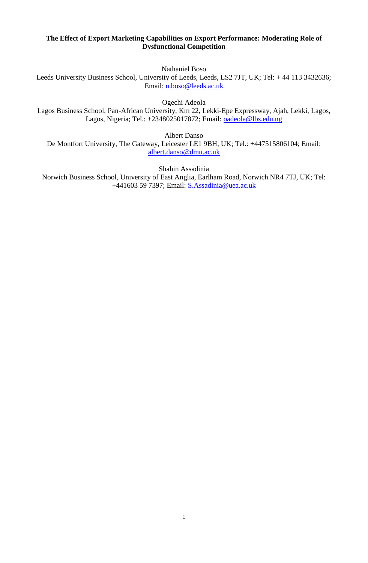# **The Effect of Export Marketing Capabilities on Export Performance: Moderating Role of Dysfunctional Competition**

Nathaniel Boso

Leeds University Business School, University of Leeds, Leeds, LS2 7JT, UK; Tel: + 44 113 3432636; Email: [n.boso@leeds.ac.uk](mailto:n.boso@leeds.ac.uk)

Ogechi Adeola

Lagos Business School, Pan-African University, Km 22, Lekki-Epe Expressway, Ajah, Lekki, Lagos, Lagos, Nigeria; Tel.: +2348025017872; Email: [oadeola@lbs.edu.ng](mailto:oadeola@lbs.edu.ng)

Albert Danso

De Montfort University, The Gateway, Leicester LE1 9BH, UK; Tel.: +447515806104; Email: [albert.danso@dmu.ac.uk](mailto:albert.danso@dmu.ac.uk)

Shahin Assadinia

Norwich Business School, University of East Anglia, Earlham Road, Norwich NR4 7TJ, UK; Tel: +441603 59 7397; Email: [S.Assadinia@uea.ac.uk](mailto:S.Assadinia@uea.ac.uk)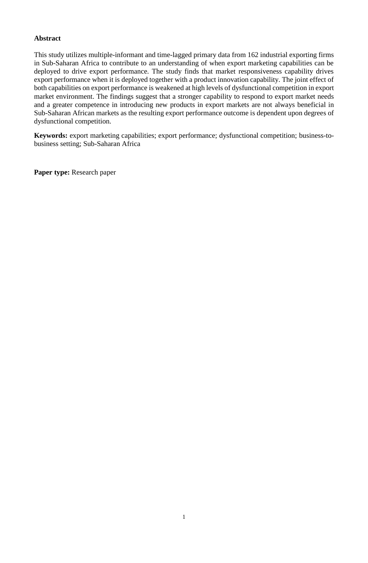# **Abstract**

This study utilizes multiple-informant and time-lagged primary data from 162 industrial exporting firms in Sub-Saharan Africa to contribute to an understanding of when export marketing capabilities can be deployed to drive export performance. The study finds that market responsiveness capability drives export performance when it is deployed together with a product innovation capability. The joint effect of both capabilities on export performance is weakened at high levels of dysfunctional competition in export market environment. The findings suggest that a stronger capability to respond to export market needs and a greater competence in introducing new products in export markets are not always beneficial in Sub-Saharan African markets as the resulting export performance outcome is dependent upon degrees of dysfunctional competition.

**Keywords:** export marketing capabilities; export performance; dysfunctional competition; business-tobusiness setting; Sub-Saharan Africa

**Paper type:** Research paper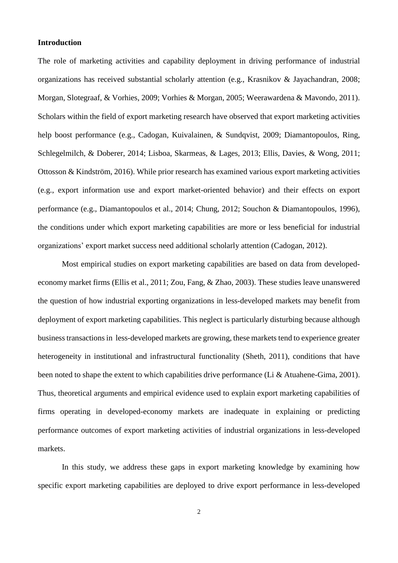## **Introduction**

The role of marketing activities and capability deployment in driving performance of industrial organizations has received substantial scholarly attention (e.g., Krasnikov & Jayachandran, 2008; Morgan, Slotegraaf, & Vorhies, 2009; Vorhies & Morgan, 2005; Weerawardena & Mavondo, 2011). Scholars within the field of export marketing research have observed that export marketing activities help boost performance (e.g., Cadogan, Kuivalainen, & Sundqvist, 2009; Diamantopoulos, Ring, Schlegelmilch, & Doberer, 2014; Lisboa, Skarmeas, & Lages, 2013; Ellis, Davies, & Wong, 2011; Ottosson & Kindström, 2016). While prior research has examined various export marketing activities (e.g., export information use and export market-oriented behavior) and their effects on export performance (e.g., Diamantopoulos et al., 2014; Chung, 2012; Souchon & Diamantopoulos, 1996), the conditions under which export marketing capabilities are more or less beneficial for industrial organizations' export market success need additional scholarly attention (Cadogan, 2012).

Most empirical studies on export marketing capabilities are based on data from developedeconomy market firms (Ellis et al., 2011; Zou, Fang, & Zhao, 2003). These studies leave unanswered the question of how industrial exporting organizations in less-developed markets may benefit from deployment of export marketing capabilities. This neglect is particularly disturbing because although business transactions in less-developed markets are growing, these markets tend to experience greater heterogeneity in institutional and infrastructural functionality (Sheth, 2011), conditions that have been noted to shape the extent to which capabilities drive performance (Li & Atuahene-Gima, 2001). Thus, theoretical arguments and empirical evidence used to explain export marketing capabilities of firms operating in developed-economy markets are inadequate in explaining or predicting performance outcomes of export marketing activities of industrial organizations in less-developed markets.

In this study, we address these gaps in export marketing knowledge by examining how specific export marketing capabilities are deployed to drive export performance in less-developed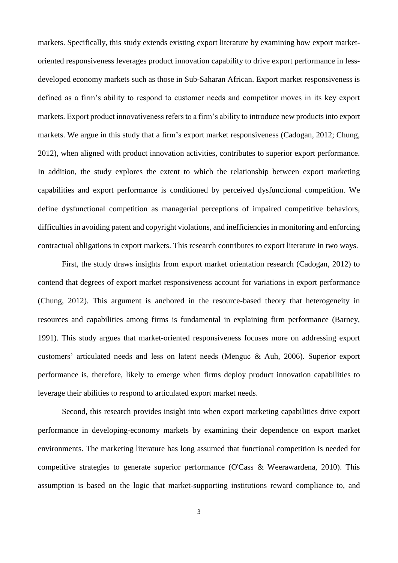markets. Specifically, this study extends existing export literature by examining how export marketoriented responsiveness leverages product innovation capability to drive export performance in lessdeveloped economy markets such as those in Sub-Saharan African. Export market responsiveness is defined as a firm's ability to respond to customer needs and competitor moves in its key export markets. Export product innovativeness refers to a firm's ability to introduce new products into export markets. We argue in this study that a firm's export market responsiveness (Cadogan, 2012; Chung, 2012), when aligned with product innovation activities, contributes to superior export performance. In addition, the study explores the extent to which the relationship between export marketing capabilities and export performance is conditioned by perceived dysfunctional competition. We define dysfunctional competition as managerial perceptions of impaired competitive behaviors, difficulties in avoiding patent and copyright violations, and inefficiencies in monitoring and enforcing contractual obligations in export markets. This research contributes to export literature in two ways.

First, the study draws insights from export market orientation research (Cadogan, 2012) to contend that degrees of export market responsiveness account for variations in export performance (Chung, 2012). This argument is anchored in the resource-based theory that heterogeneity in resources and capabilities among firms is fundamental in explaining firm performance (Barney, 1991). This study argues that market-oriented responsiveness focuses more on addressing export customers' articulated needs and less on latent needs (Menguc & Auh, 2006). Superior export performance is, therefore, likely to emerge when firms deploy product innovation capabilities to leverage their abilities to respond to articulated export market needs.

Second, this research provides insight into when export marketing capabilities drive export performance in developing-economy markets by examining their dependence on export market environments. The marketing literature has long assumed that functional competition is needed for competitive strategies to generate superior performance (O'Cass & Weerawardena, 2010). This assumption is based on the logic that market-supporting institutions reward compliance to, and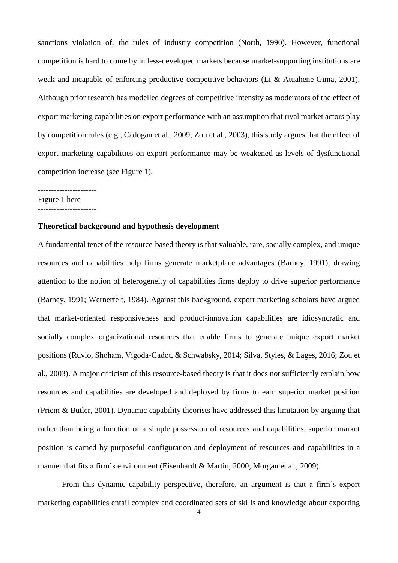sanctions violation of, the rules of industry competition (North, 1990). However, functional competition is hard to come by in less-developed markets because market-supporting institutions are weak and incapable of enforcing productive competitive behaviors (Li & Atuahene-Gima, 2001). Although prior research has modelled degrees of competitive intensity as moderators of the effect of export marketing capabilities on export performance with an assumption that rival market actors play by competition rules (e.g., Cadogan et al., 2009; Zou et al., 2003), this study argues that the effect of export marketing capabilities on export performance may be weakened as levels of dysfunctional competition increase (see Figure 1).

#### ----------------------

Figure 1 here ----------------------

#### **Theoretical background and hypothesis development**

A fundamental tenet of the resource-based theory is that valuable, rare, socially complex, and unique resources and capabilities help firms generate marketplace advantages (Barney, 1991), drawing attention to the notion of heterogeneity of capabilities firms deploy to drive superior performance (Barney, 1991; Wernerfelt, 1984). Against this background, export marketing scholars have argued that market-oriented responsiveness and product-innovation capabilities are idiosyncratic and socially complex organizational resources that enable firms to generate unique export market positions (Ruvio, Shoham, Vigoda‐Gadot, & Schwabsky, 2014; Silva, Styles, & Lages, 2016; Zou et al., 2003). A major criticism of this resource-based theory is that it does not sufficiently explain how resources and capabilities are developed and deployed by firms to earn superior market position (Priem & Butler, 2001). Dynamic capability theorists have addressed this limitation by arguing that rather than being a function of a simple possession of resources and capabilities, superior market position is earned by purposeful configuration and deployment of resources and capabilities in a manner that fits a firm's environment (Eisenhardt & Martin, 2000; Morgan et al., 2009).

From this dynamic capability perspective, therefore, an argument is that a firm's export marketing capabilities entail complex and coordinated sets of skills and knowledge about exporting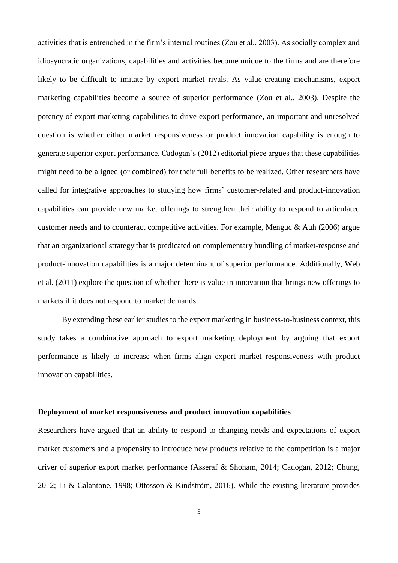activities that is entrenched in the firm's internal routines (Zou et al., 2003). As socially complex and idiosyncratic organizations, capabilities and activities become unique to the firms and are therefore likely to be difficult to imitate by export market rivals. As value-creating mechanisms, export marketing capabilities become a source of superior performance (Zou et al., 2003). Despite the potency of export marketing capabilities to drive export performance, an important and unresolved question is whether either market responsiveness or product innovation capability is enough to generate superior export performance. Cadogan's (2012) editorial piece argues that these capabilities might need to be aligned (or combined) for their full benefits to be realized. Other researchers have called for integrative approaches to studying how firms' customer-related and product-innovation capabilities can provide new market offerings to strengthen their ability to respond to articulated customer needs and to counteract competitive activities. For example, Menguc & Auh (2006) argue that an organizational strategy that is predicated on complementary bundling of market-response and product-innovation capabilities is a major determinant of superior performance. Additionally, Web et al. (2011) explore the question of whether there is value in innovation that brings new offerings to markets if it does not respond to market demands.

By extending these earlier studies to the export marketing in business-to-business context, this study takes a combinative approach to export marketing deployment by arguing that export performance is likely to increase when firms align export market responsiveness with product innovation capabilities.

## **Deployment of market responsiveness and product innovation capabilities**

Researchers have argued that an ability to respond to changing needs and expectations of export market customers and a propensity to introduce new products relative to the competition is a major driver of superior export market performance (Asseraf & Shoham, 2014; Cadogan, 2012; Chung, 2012; Li & Calantone, 1998; Ottosson & Kindström, 2016). While the existing literature provides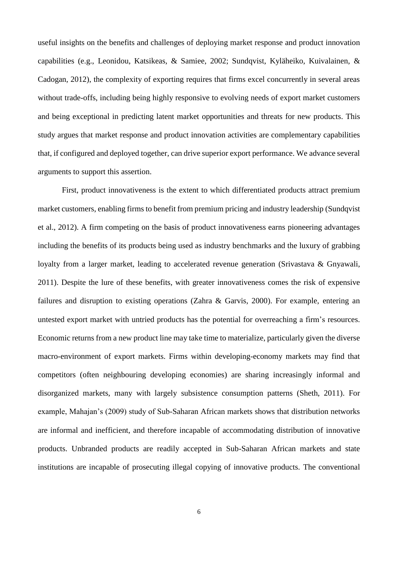useful insights on the benefits and challenges of deploying market response and product innovation capabilities (e.g., Leonidou, Katsikeas, & Samiee, 2002; Sundqvist, Kyläheiko, Kuivalainen, & Cadogan, 2012), the complexity of exporting requires that firms excel concurrently in several areas without trade-offs, including being highly responsive to evolving needs of export market customers and being exceptional in predicting latent market opportunities and threats for new products. This study argues that market response and product innovation activities are complementary capabilities that, if configured and deployed together, can drive superior export performance. We advance several arguments to support this assertion.

First, product innovativeness is the extent to which differentiated products attract premium market customers, enabling firms to benefit from premium pricing and industry leadership (Sundqvist et al., 2012). A firm competing on the basis of product innovativeness earns pioneering advantages including the benefits of its products being used as industry benchmarks and the luxury of grabbing loyalty from a larger market, leading to accelerated revenue generation (Srivastava & Gnyawali, 2011). Despite the lure of these benefits, with greater innovativeness comes the risk of expensive failures and disruption to existing operations (Zahra & Garvis, 2000). For example, entering an untested export market with untried products has the potential for overreaching a firm's resources. Economic returns from a new product line may take time to materialize, particularly given the diverse macro-environment of export markets. Firms within developing-economy markets may find that competitors (often neighbouring developing economies) are sharing increasingly informal and disorganized markets, many with largely subsistence consumption patterns (Sheth, 2011). For example, Mahajan's (2009) study of Sub-Saharan African markets shows that distribution networks are informal and inefficient, and therefore incapable of accommodating distribution of innovative products. Unbranded products are readily accepted in Sub-Saharan African markets and state institutions are incapable of prosecuting illegal copying of innovative products. The conventional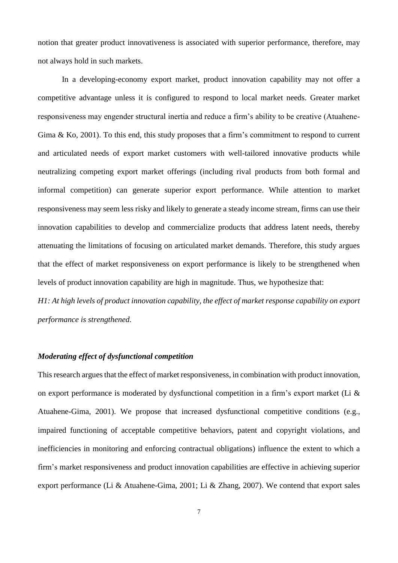notion that greater product innovativeness is associated with superior performance, therefore, may not always hold in such markets.

In a developing-economy export market, product innovation capability may not offer a competitive advantage unless it is configured to respond to local market needs. Greater market responsiveness may engender structural inertia and reduce a firm's ability to be creative (Atuahene-Gima & Ko, 2001). To this end, this study proposes that a firm's commitment to respond to current and articulated needs of export market customers with well-tailored innovative products while neutralizing competing export market offerings (including rival products from both formal and informal competition) can generate superior export performance. While attention to market responsiveness may seem less risky and likely to generate a steady income stream, firms can use their innovation capabilities to develop and commercialize products that address latent needs, thereby attenuating the limitations of focusing on articulated market demands. Therefore, this study argues that the effect of market responsiveness on export performance is likely to be strengthened when levels of product innovation capability are high in magnitude. Thus, we hypothesize that:

*H1: At high levels of product innovation capability, the effect of market response capability on export performance is strengthened.*

## *Moderating effect of dysfunctional competition*

This research argues that the effect of market responsiveness, in combination with product innovation, on export performance is moderated by dysfunctional competition in a firm's export market (Li & Atuahene-Gima, 2001). We propose that increased dysfunctional competitive conditions (e.g., impaired functioning of acceptable competitive behaviors, patent and copyright violations, and inefficiencies in monitoring and enforcing contractual obligations) influence the extent to which a firm's market responsiveness and product innovation capabilities are effective in achieving superior export performance (Li & Atuahene-Gima, 2001; Li & Zhang, 2007). We contend that export sales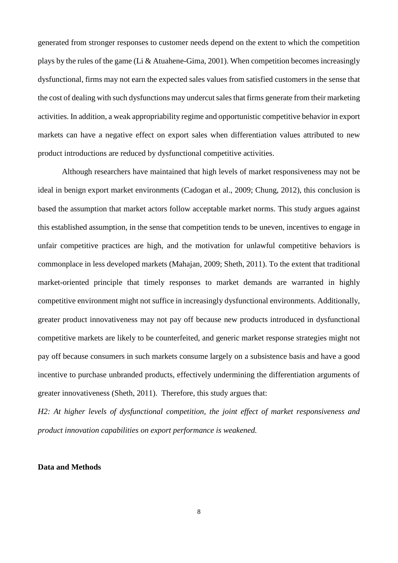generated from stronger responses to customer needs depend on the extent to which the competition plays by the rules of the game (Li & Atuahene-Gima, 2001). When competition becomes increasingly dysfunctional, firms may not earn the expected sales values from satisfied customers in the sense that the cost of dealing with such dysfunctions may undercut sales that firms generate from their marketing activities. In addition, a weak appropriability regime and opportunistic competitive behavior in export markets can have a negative effect on export sales when differentiation values attributed to new product introductions are reduced by dysfunctional competitive activities.

Although researchers have maintained that high levels of market responsiveness may not be ideal in benign export market environments (Cadogan et al., 2009; Chung, 2012), this conclusion is based the assumption that market actors follow acceptable market norms. This study argues against this established assumption, in the sense that competition tends to be uneven, incentives to engage in unfair competitive practices are high, and the motivation for unlawful competitive behaviors is commonplace in less developed markets (Mahajan, 2009; Sheth, 2011). To the extent that traditional market-oriented principle that timely responses to market demands are warranted in highly competitive environment might not suffice in increasingly dysfunctional environments. Additionally, greater product innovativeness may not pay off because new products introduced in dysfunctional competitive markets are likely to be counterfeited, and generic market response strategies might not pay off because consumers in such markets consume largely on a subsistence basis and have a good incentive to purchase unbranded products, effectively undermining the differentiation arguments of greater innovativeness (Sheth, 2011). Therefore, this study argues that:

*H2: At higher levels of dysfunctional competition, the joint effect of market responsiveness and product innovation capabilities on export performance is weakened.*

#### **Data and Methods**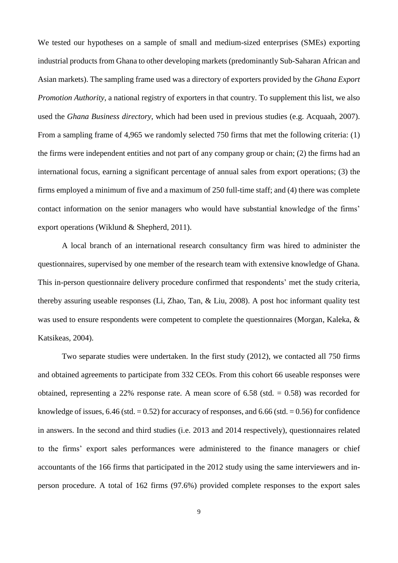We tested our hypotheses on a sample of small and medium-sized enterprises (SMEs) exporting industrial products from Ghana to other developing markets (predominantly Sub-Saharan African and Asian markets). The sampling frame used was a directory of exporters provided by the *Ghana Export Promotion Authority*, a national registry of exporters in that country. To supplement this list, we also used the *Ghana Business directory*, which had been used in previous studies (e.g. Acquaah, 2007). From a sampling frame of 4,965 we randomly selected 750 firms that met the following criteria: (1) the firms were independent entities and not part of any company group or chain; (2) the firms had an international focus, earning a significant percentage of annual sales from export operations; (3) the firms employed a minimum of five and a maximum of 250 full-time staff; and (4) there was complete contact information on the senior managers who would have substantial knowledge of the firms' export operations (Wiklund & Shepherd, 2011).

A local branch of an international research consultancy firm was hired to administer the questionnaires, supervised by one member of the research team with extensive knowledge of Ghana. This in-person questionnaire delivery procedure confirmed that respondents' met the study criteria, thereby assuring useable responses (Li, Zhao, Tan, & Liu, 2008). A post hoc informant quality test was used to ensure respondents were competent to complete the questionnaires (Morgan, Kaleka, & Katsikeas, 2004).

Two separate studies were undertaken. In the first study (2012), we contacted all 750 firms and obtained agreements to participate from 332 CEOs. From this cohort 66 useable responses were obtained, representing a 22% response rate. A mean score of 6.58 (std.  $= 0.58$ ) was recorded for knowledge of issues,  $6.46$  (std.  $= 0.52$ ) for accuracy of responses, and  $6.66$  (std.  $= 0.56$ ) for confidence in answers. In the second and third studies (i.e. 2013 and 2014 respectively), questionnaires related to the firms' export sales performances were administered to the finance managers or chief accountants of the 166 firms that participated in the 2012 study using the same interviewers and inperson procedure. A total of 162 firms (97.6%) provided complete responses to the export sales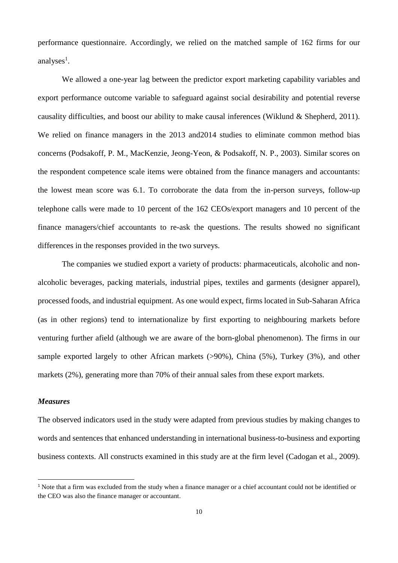performance questionnaire. Accordingly, we relied on the matched sample of 162 firms for our analyses<sup>1</sup>.

We allowed a one-year lag between the predictor export marketing capability variables and export performance outcome variable to safeguard against social desirability and potential reverse causality difficulties, and boost our ability to make causal inferences (Wiklund & Shepherd, 2011). We relied on finance managers in the 2013 and2014 studies to eliminate common method bias concerns (Podsakoff, P. M., MacKenzie, Jeong-Yeon, & Podsakoff, N. P., 2003). Similar scores on the respondent competence scale items were obtained from the finance managers and accountants: the lowest mean score was 6.1. To corroborate the data from the in-person surveys, follow-up telephone calls were made to 10 percent of the 162 CEOs/export managers and 10 percent of the finance managers/chief accountants to re-ask the questions. The results showed no significant differences in the responses provided in the two surveys.

The companies we studied export a variety of products: pharmaceuticals, alcoholic and nonalcoholic beverages, packing materials, industrial pipes, textiles and garments (designer apparel), processed foods, and industrial equipment. As one would expect, firms located in Sub-Saharan Africa (as in other regions) tend to internationalize by first exporting to neighbouring markets before venturing further afield (although we are aware of the born-global phenomenon). The firms in our sample exported largely to other African markets (>90%), China (5%), Turkey (3%), and other markets (2%), generating more than 70% of their annual sales from these export markets.

#### *Measures*

1

The observed indicators used in the study were adapted from previous studies by making changes to words and sentences that enhanced understanding in international business-to-business and exporting business contexts. All constructs examined in this study are at the firm level (Cadogan et al., 2009).

 $1$  Note that a firm was excluded from the study when a finance manager or a chief accountant could not be identified or the CEO was also the finance manager or accountant.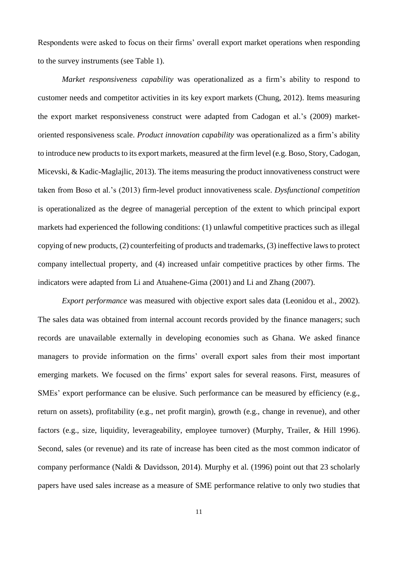Respondents were asked to focus on their firms' overall export market operations when responding to the survey instruments (see Table 1).

*Market responsiveness capability* was operationalized as a firm's ability to respond to customer needs and competitor activities in its key export markets (Chung, 2012). Items measuring the export market responsiveness construct were adapted from Cadogan et al.'s (2009) marketoriented responsiveness scale. *Product innovation capability* was operationalized as a firm's ability to introduce new products to its export markets, measured at the firm level (e.g. Boso, Story, Cadogan, Micevski, & Kadic-Maglajlic, 2013). The items measuring the product innovativeness construct were taken from Boso et al.'s (2013) firm-level product innovativeness scale. *Dysfunctional competition* is operationalized as the degree of managerial perception of the extent to which principal export markets had experienced the following conditions: (1) unlawful competitive practices such as illegal copying of new products, (2) counterfeiting of products and trademarks, (3) ineffective laws to protect company intellectual property, and (4) increased unfair competitive practices by other firms. The indicators were adapted from Li and Atuahene-Gima (2001) and Li and Zhang (2007).

*Export performance* was measured with objective export sales data (Leonidou et al., 2002). The sales data was obtained from internal account records provided by the finance managers; such records are unavailable externally in developing economies such as Ghana. We asked finance managers to provide information on the firms' overall export sales from their most important emerging markets. We focused on the firms' export sales for several reasons. First, measures of SMEs' export performance can be elusive. Such performance can be measured by efficiency (e.g., return on assets), profitability (e.g., net profit margin), growth (e.g., change in revenue), and other factors (e.g., size, liquidity, leverageability, employee turnover) (Murphy, Trailer, & Hill 1996). Second, sales (or revenue) and its rate of increase has been cited as the most common indicator of company performance (Naldi & Davidsson, 2014). Murphy et al. (1996) point out that 23 scholarly papers have used sales increase as a measure of SME performance relative to only two studies that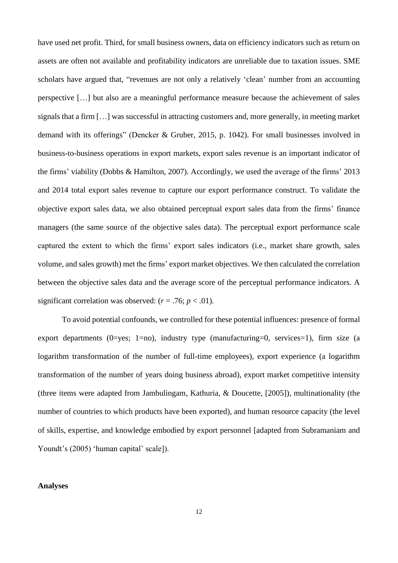have used net profit. Third, for small business owners, data on efficiency indicators such as return on assets are often not available and profitability indicators are unreliable due to taxation issues. SME scholars have argued that, "revenues are not only a relatively 'clean' number from an accounting perspective […] but also are a meaningful performance measure because the achievement of sales signals that a firm […] was successful in attracting customers and, more generally, in meeting market demand with its offerings" (Dencker & Gruber, 2015, p. 1042). For small businesses involved in business-to-business operations in export markets, export sales revenue is an important indicator of the firms' viability (Dobbs & Hamilton, 2007). Accordingly, we used the average of the firms' 2013 and 2014 total export sales revenue to capture our export performance construct. To validate the objective export sales data, we also obtained perceptual export sales data from the firms' finance managers (the same source of the objective sales data). The perceptual export performance scale captured the extent to which the firms' export sales indicators (i.e., market share growth, sales volume, and sales growth) met the firms' export market objectives. We then calculated the correlation between the objective sales data and the average score of the perceptual performance indicators. A significant correlation was observed:  $(r = .76; p < .01)$ .

To avoid potential confounds, we controlled for these potential influences: presence of formal export departments (0=yes; 1=no), industry type (manufacturing=0, services=1), firm size (a logarithm transformation of the number of full-time employees), export experience (a logarithm transformation of the number of years doing business abroad), export market competitive intensity (three items were adapted from Jambulingam, Kathuria, & Doucette, [2005]), multinationality (the number of countries to which products have been exported), and human resource capacity (the level of skills, expertise, and knowledge embodied by export personnel [adapted from Subramaniam and Youndt's (2005) 'human capital' scale]).

#### **Analyses**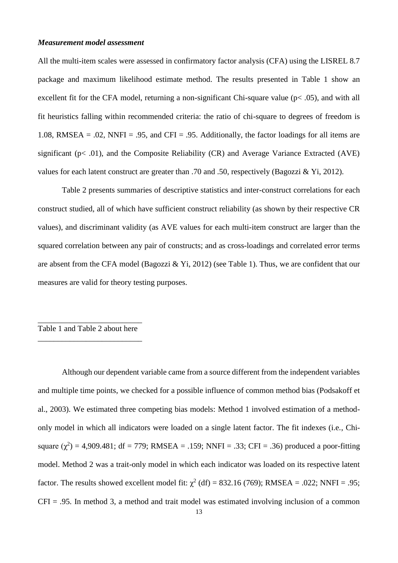#### *Measurement model assessment*

All the multi-item scales were assessed in confirmatory factor analysis (CFA) using the LISREL 8.7 package and maximum likelihood estimate method. The results presented in Table 1 show an excellent fit for the CFA model, returning a non-significant Chi-square value ( $p < .05$ ), and with all fit heuristics falling within recommended criteria: the ratio of chi-square to degrees of freedom is 1.08, RMSEA = .02, NNFI = .95, and CFI = .95. Additionally, the factor loadings for all items are significant ( $p$ < .01), and the Composite Reliability (CR) and Average Variance Extracted (AVE) values for each latent construct are greater than .70 and .50, respectively (Bagozzi & Yi, 2012).

Table 2 presents summaries of descriptive statistics and inter-construct correlations for each construct studied, all of which have sufficient construct reliability (as shown by their respective CR values), and discriminant validity (as AVE values for each multi-item construct are larger than the squared correlation between any pair of constructs; and as cross-loadings and correlated error terms are absent from the CFA model (Bagozzi & Yi, 2012) (see Table 1). Thus, we are confident that our measures are valid for theory testing purposes.

## \_\_\_\_\_\_\_\_\_\_\_\_\_\_\_\_\_\_\_\_\_\_\_\_\_\_ Table 1 and Table 2 about here \_\_\_\_\_\_\_\_\_\_\_\_\_\_\_\_\_\_\_\_\_\_\_\_\_\_

Although our dependent variable came from a source different from the independent variables and multiple time points, we checked for a possible influence of common method bias (Podsakoff et al., 2003). We estimated three competing bias models: Method 1 involved estimation of a methodonly model in which all indicators were loaded on a single latent factor. The fit indexes (i.e., Chisquare  $(\chi^2) = 4,909.481$ ; df = 779; RMSEA = .159; NNFI = .33; CFI = .36) produced a poor-fitting model. Method 2 was a trait-only model in which each indicator was loaded on its respective latent factor. The results showed excellent model fit:  $\chi^2$  (df) = 832.16 (769); RMSEA = .022; NNFI = .95;  $CFI = .95$ . In method 3, a method and trait model was estimated involving inclusion of a common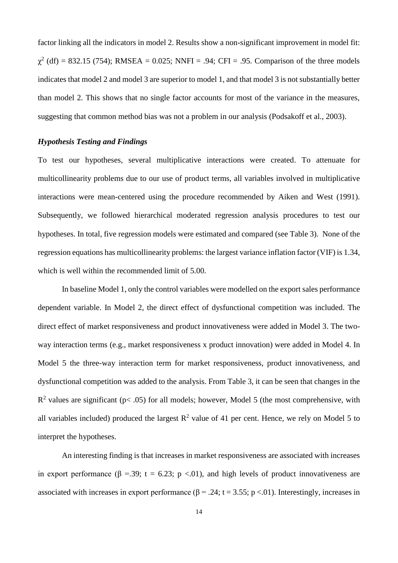factor linking all the indicators in model 2. Results show a non-significant improvement in model fit:  $\chi^2$  (df) = 832.15 (754); RMSEA = 0.025; NNFI = .94; CFI = .95. Comparison of the three models indicates that model 2 and model 3 are superior to model 1, and that model 3 is not substantially better than model 2. This shows that no single factor accounts for most of the variance in the measures, suggesting that common method bias was not a problem in our analysis (Podsakoff et al., 2003).

## *Hypothesis Testing and Findings*

To test our hypotheses, several multiplicative interactions were created. To attenuate for multicollinearity problems due to our use of product terms, all variables involved in multiplicative interactions were mean-centered using the procedure recommended by Aiken and West (1991). Subsequently, we followed hierarchical moderated regression analysis procedures to test our hypotheses. In total, five regression models were estimated and compared (see Table 3). None of the regression equations has multicollinearity problems: the largest variance inflation factor (VIF) is 1.34, which is well within the recommended limit of 5.00.

In baseline Model 1, only the control variables were modelled on the export sales performance dependent variable. In Model 2, the direct effect of dysfunctional competition was included. The direct effect of market responsiveness and product innovativeness were added in Model 3. The twoway interaction terms (e.g., market responsiveness x product innovation) were added in Model 4. In Model 5 the three-way interaction term for market responsiveness, product innovativeness, and dysfunctional competition was added to the analysis. From Table 3, it can be seen that changes in the  $R<sup>2</sup>$  values are significant (p< .05) for all models; however, Model 5 (the most comprehensive, with all variables included) produced the largest  $R^2$  value of 41 per cent. Hence, we rely on Model 5 to interpret the hypotheses.

An interesting finding is that increases in market responsiveness are associated with increases in export performance ( $\beta$  =.39; t = 6.23; p <.01), and high levels of product innovativeness are associated with increases in export performance ( $\beta = .24$ ; t = 3.55; p <.01). Interestingly, increases in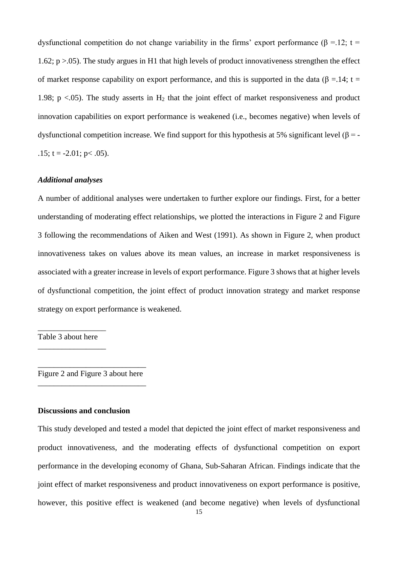dysfunctional competition do not change variability in the firms' export performance ( $\beta = 12$ ; t = 1.62; p >.05). The study argues in H1 that high levels of product innovativeness strengthen the effect of market response capability on export performance, and this is supported in the data ( $\beta = 14$ ; t = 1.98; p <.05). The study asserts in  $H_2$  that the joint effect of market responsiveness and product innovation capabilities on export performance is weakened (i.e., becomes negative) when levels of dysfunctional competition increase. We find support for this hypothesis at 5% significant level (β = - $.15$ ; t = -2.01; p < .05).

## *Additional analyses*

A number of additional analyses were undertaken to further explore our findings. First, for a better understanding of moderating effect relationships, we plotted the interactions in Figure 2 and Figure 3 following the recommendations of Aiken and West (1991). As shown in Figure 2, when product innovativeness takes on values above its mean values, an increase in market responsiveness is associated with a greater increase in levels of export performance. Figure 3 shows that at higher levels of dysfunctional competition, the joint effect of product innovation strategy and market response strategy on export performance is weakened.

\_\_\_\_\_\_\_\_\_\_\_\_\_\_\_\_\_ Table 3 about here \_\_\_\_\_\_\_\_\_\_\_\_\_\_\_\_\_

\_\_\_\_\_\_\_\_\_\_\_\_\_\_\_\_\_\_\_\_\_\_\_\_\_\_\_ Figure 2 and Figure 3 about here \_\_\_\_\_\_\_\_\_\_\_\_\_\_\_\_\_\_\_\_\_\_\_\_\_\_\_

## **Discussions and conclusion**

This study developed and tested a model that depicted the joint effect of market responsiveness and product innovativeness, and the moderating effects of dysfunctional competition on export performance in the developing economy of Ghana, Sub-Saharan African. Findings indicate that the joint effect of market responsiveness and product innovativeness on export performance is positive, however, this positive effect is weakened (and become negative) when levels of dysfunctional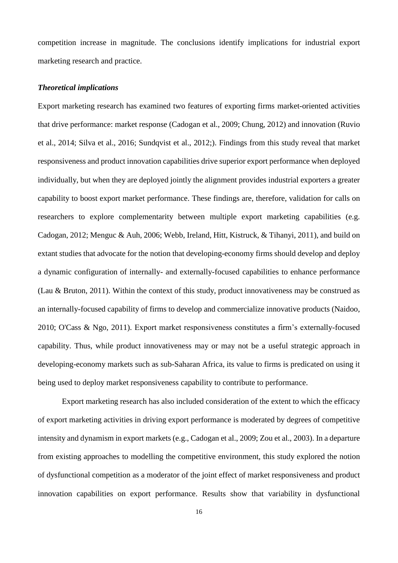competition increase in magnitude. The conclusions identify implications for industrial export marketing research and practice.

## *Theoretical implications*

Export marketing research has examined two features of exporting firms market-oriented activities that drive performance: market response (Cadogan et al., 2009; Chung, 2012) and innovation (Ruvio et al., 2014; Silva et al., 2016; Sundqvist et al., 2012;). Findings from this study reveal that market responsiveness and product innovation capabilities drive superior export performance when deployed individually, but when they are deployed jointly the alignment provides industrial exporters a greater capability to boost export market performance. These findings are, therefore, validation for calls on researchers to explore complementarity between multiple export marketing capabilities (e.g. Cadogan, 2012; Menguc & Auh, 2006; Webb, Ireland, Hitt, Kistruck, & Tihanyi, 2011), and build on extant studies that advocate for the notion that developing-economy firms should develop and deploy a dynamic configuration of internally- and externally-focused capabilities to enhance performance (Lau & Bruton, 2011). Within the context of this study, product innovativeness may be construed as an internally-focused capability of firms to develop and commercialize innovative products (Naidoo, 2010; O'Cass & Ngo, 2011). Export market responsiveness constitutes a firm's externally-focused capability. Thus, while product innovativeness may or may not be a useful strategic approach in developing-economy markets such as sub-Saharan Africa, its value to firms is predicated on using it being used to deploy market responsiveness capability to contribute to performance.

Export marketing research has also included consideration of the extent to which the efficacy of export marketing activities in driving export performance is moderated by degrees of competitive intensity and dynamism in export markets (e.g., Cadogan et al., 2009; Zou et al., 2003). In a departure from existing approaches to modelling the competitive environment, this study explored the notion of dysfunctional competition as a moderator of the joint effect of market responsiveness and product innovation capabilities on export performance. Results show that variability in dysfunctional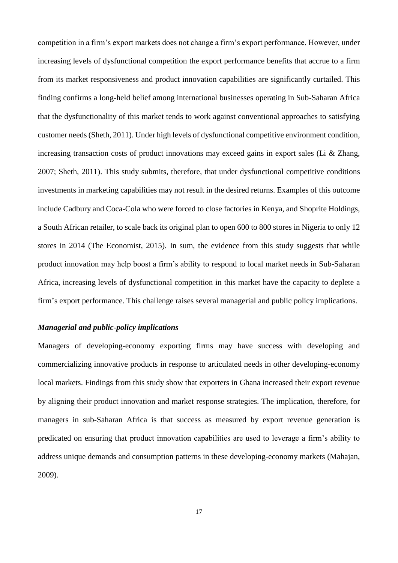competition in a firm's export markets does not change a firm's export performance. However, under increasing levels of dysfunctional competition the export performance benefits that accrue to a firm from its market responsiveness and product innovation capabilities are significantly curtailed. This finding confirms a long-held belief among international businesses operating in Sub-Saharan Africa that the dysfunctionality of this market tends to work against conventional approaches to satisfying customer needs (Sheth, 2011). Under high levels of dysfunctional competitive environment condition, increasing transaction costs of product innovations may exceed gains in export sales (Li & Zhang, 2007; Sheth, 2011). This study submits, therefore, that under dysfunctional competitive conditions investments in marketing capabilities may not result in the desired returns. Examples of this outcome include Cadbury and Coca-Cola who were forced to close factories in Kenya, and Shoprite Holdings, a South African retailer, to scale back its original plan to open 600 to 800 stores in Nigeria to only 12 stores in 2014 (The Economist, 2015). In sum, the evidence from this study suggests that while product innovation may help boost a firm's ability to respond to local market needs in Sub-Saharan Africa, increasing levels of dysfunctional competition in this market have the capacity to deplete a firm's export performance. This challenge raises several managerial and public policy implications.

## *Managerial and public-policy implications*

Managers of developing-economy exporting firms may have success with developing and commercializing innovative products in response to articulated needs in other developing-economy local markets. Findings from this study show that exporters in Ghana increased their export revenue by aligning their product innovation and market response strategies. The implication, therefore, for managers in sub-Saharan Africa is that success as measured by export revenue generation is predicated on ensuring that product innovation capabilities are used to leverage a firm's ability to address unique demands and consumption patterns in these developing-economy markets (Mahajan, 2009).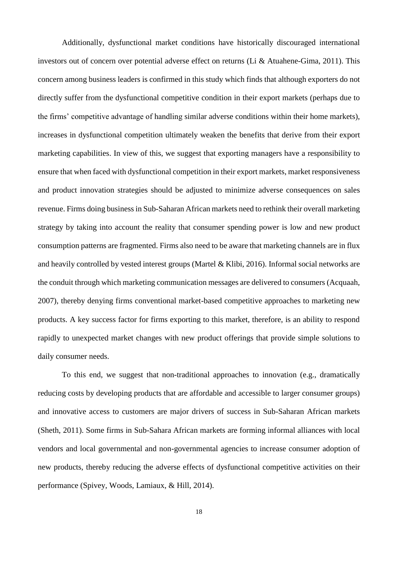Additionally, dysfunctional market conditions have historically discouraged international investors out of concern over potential adverse effect on returns (Li & Atuahene-Gima, 2011). This concern among business leaders is confirmed in this study which finds that although exporters do not directly suffer from the dysfunctional competitive condition in their export markets (perhaps due to the firms' competitive advantage of handling similar adverse conditions within their home markets), increases in dysfunctional competition ultimately weaken the benefits that derive from their export marketing capabilities. In view of this, we suggest that exporting managers have a responsibility to ensure that when faced with dysfunctional competition in their export markets, market responsiveness and product innovation strategies should be adjusted to minimize adverse consequences on sales revenue. Firms doing business in Sub-Saharan African markets need to rethink their overall marketing strategy by taking into account the reality that consumer spending power is low and new product consumption patterns are fragmented. Firms also need to be aware that marketing channels are in flux and heavily controlled by vested interest groups (Martel & Klibi, 2016). Informal social networks are the conduit through which marketing communication messages are delivered to consumers (Acquaah, 2007), thereby denying firms conventional market-based competitive approaches to marketing new products. A key success factor for firms exporting to this market, therefore, is an ability to respond rapidly to unexpected market changes with new product offerings that provide simple solutions to daily consumer needs.

To this end, we suggest that non-traditional approaches to innovation (e.g., dramatically reducing costs by developing products that are affordable and accessible to larger consumer groups) and innovative access to customers are major drivers of success in Sub-Saharan African markets (Sheth, 2011). Some firms in Sub-Sahara African markets are forming informal alliances with local vendors and local governmental and non-governmental agencies to increase consumer adoption of new products, thereby reducing the adverse effects of dysfunctional competitive activities on their performance (Spivey, Woods, Lamiaux, & Hill, 2014).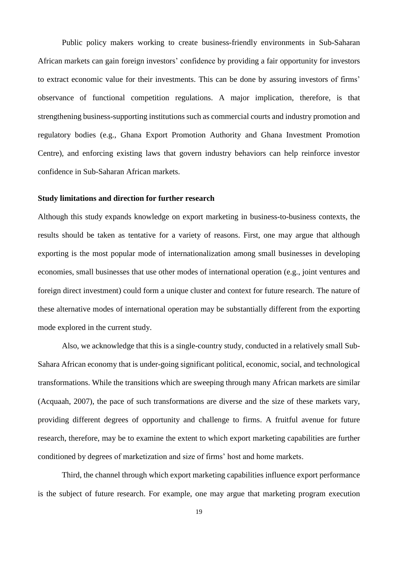Public policy makers working to create business-friendly environments in Sub-Saharan African markets can gain foreign investors' confidence by providing a fair opportunity for investors to extract economic value for their investments. This can be done by assuring investors of firms' observance of functional competition regulations. A major implication, therefore, is that strengthening business-supporting institutions such as commercial courts and industry promotion and regulatory bodies (e.g., Ghana Export Promotion Authority and Ghana Investment Promotion Centre), and enforcing existing laws that govern industry behaviors can help reinforce investor confidence in Sub-Saharan African markets.

#### **Study limitations and direction for further research**

Although this study expands knowledge on export marketing in business-to-business contexts, the results should be taken as tentative for a variety of reasons. First, one may argue that although exporting is the most popular mode of internationalization among small businesses in developing economies, small businesses that use other modes of international operation (e.g., joint ventures and foreign direct investment) could form a unique cluster and context for future research. The nature of these alternative modes of international operation may be substantially different from the exporting mode explored in the current study.

Also, we acknowledge that this is a single-country study, conducted in a relatively small Sub-Sahara African economy that is under-going significant political, economic, social, and technological transformations. While the transitions which are sweeping through many African markets are similar (Acquaah, 2007), the pace of such transformations are diverse and the size of these markets vary, providing different degrees of opportunity and challenge to firms. A fruitful avenue for future research, therefore, may be to examine the extent to which export marketing capabilities are further conditioned by degrees of marketization and size of firms' host and home markets.

Third, the channel through which export marketing capabilities influence export performance is the subject of future research. For example, one may argue that marketing program execution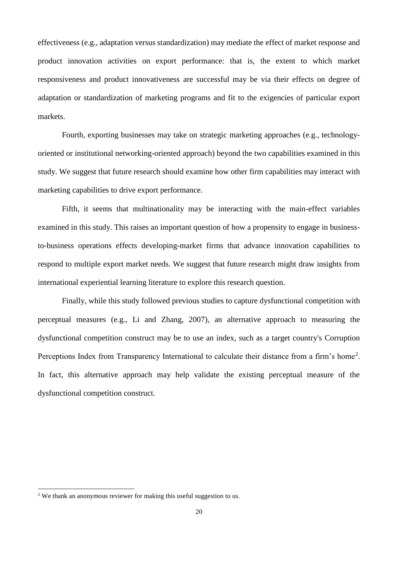effectiveness (e.g., adaptation versus standardization) may mediate the effect of market response and product innovation activities on export performance: that is, the extent to which market responsiveness and product innovativeness are successful may be via their effects on degree of adaptation or standardization of marketing programs and fit to the exigencies of particular export markets.

Fourth, exporting businesses may take on strategic marketing approaches (e.g., technologyoriented or institutional networking-oriented approach) beyond the two capabilities examined in this study. We suggest that future research should examine how other firm capabilities may interact with marketing capabilities to drive export performance.

Fifth, it seems that multinationality may be interacting with the main-effect variables examined in this study. This raises an important question of how a propensity to engage in businessto-business operations effects developing-market firms that advance innovation capabilities to respond to multiple export market needs. We suggest that future research might draw insights from international experiential learning literature to explore this research question.

Finally, while this study followed previous studies to capture dysfunctional competition with perceptual measures (e.g., Li and Zhang, 2007), an alternative approach to measuring the dysfunctional competition construct may be to use an index, such as a target country's Corruption Perceptions Index from Transparency International to calculate their distance from a firm's home<sup>2</sup>. In fact, this alternative approach may help validate the existing perceptual measure of the dysfunctional competition construct.

**.** 

<sup>&</sup>lt;sup>2</sup> We thank an anonymous reviewer for making this useful suggestion to us.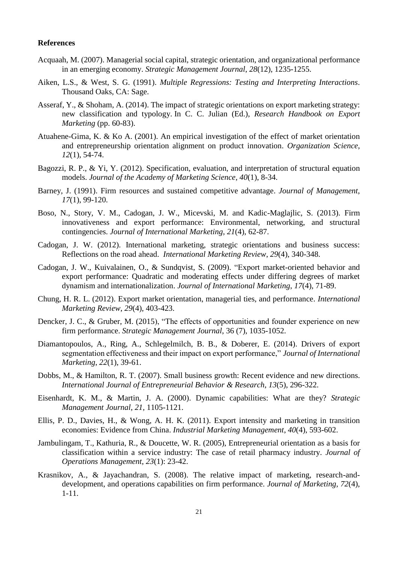#### **References**

- Acquaah, M. (2007). Managerial social capital, strategic orientation, and organizational performance in an emerging economy. *Strategic Management Journal*, *28*(12), 1235-1255.
- Aiken, L.S., & West, S. G. (1991). *Multiple Regressions: Testing and Interpreting Interactions*. Thousand Oaks, CA: Sage.
- Asseraf, Y., & Shoham, A. (2014). The impact of strategic orientations on export marketing strategy: new classification and typology. In C. C. Julian (Ed.), *Research Handbook on Export Marketing* (pp. 60-83).
- Atuahene-Gima, K. & Ko A. (2001). An empirical investigation of the effect of market orientation and entrepreneurship orientation alignment on product innovation. *Organization Science*, *12*(1), 54-74.
- Bagozzi, R. P., & Yi, Y. (2012). Specification, evaluation, and interpretation of structural equation models. *Journal of the Academy of Marketing Science*, *40*(1), 8-34.
- Barney, J. (1991). Firm resources and sustained competitive advantage. *Journal of Management*, *17*(1), 99-120.
- Boso, N., Story, V. M., Cadogan, J. W., Micevski, M. and Kadic-Maglajlic, S. (2013). Firm innovativeness and export performance: Environmental, networking, and structural contingencies. *Journal of International Marketing*, *21*(4), 62-87.
- Cadogan, J. W. (2012). International marketing, strategic orientations and business success: Reflections on the road ahead. *International Marketing Review*, *29*(4), 340-348.
- Cadogan, J. W., Kuivalainen, O., & Sundqvist, S. (2009). "Export market-oriented behavior and export performance: Quadratic and moderating effects under differing degrees of market dynamism and internationalization. *Journal of International Marketing*, *17*(4), 71-89.
- Chung, H. R. L. (2012). Export market orientation, managerial ties, and performance. *International Marketing Review*, *29*(4), 403-423.
- Dencker, J. C., & Gruber, M. (2015), "The effects of opportunities and founder experience on new firm performance. *Strategic Management Journal*, 36 (7), 1035-1052.
- Diamantopoulos, A., Ring, A., Schlegelmilch, B. B., & Doberer, E. (2014). Drivers of export segmentation effectiveness and their impact on export performance," *Journal of International Marketing*, *22*(1), 39-61.
- Dobbs, M., & Hamilton, R. T. (2007). Small business growth: Recent evidence and new directions. *International Journal of Entrepreneurial Behavior & Research*, *13*(5), 296-322.
- Eisenhardt, K. M., & Martin, J. A. (2000). Dynamic capabilities: What are they? *Strategic Management Journal*, *21,* 1105-1121.
- Ellis, P. D., Davies, H., & Wong, A. H. K. (2011). Export intensity and marketing in transition economies: Evidence from China. *Industrial Marketing Management*, *40*(4), 593-602.
- Jambulingam, T., Kathuria, R., & Doucette, W. R. (2005), Entrepreneurial orientation as a basis for classification within a service industry: The case of retail pharmacy industry. *Journal of Operations Management*, *23*(1): 23-42.
- Krasnikov, A., & Jayachandran, S. (2008). The relative impact of marketing, research-anddevelopment, and operations capabilities on firm performance. *Journal of Marketing*, *72*(4), 1-11.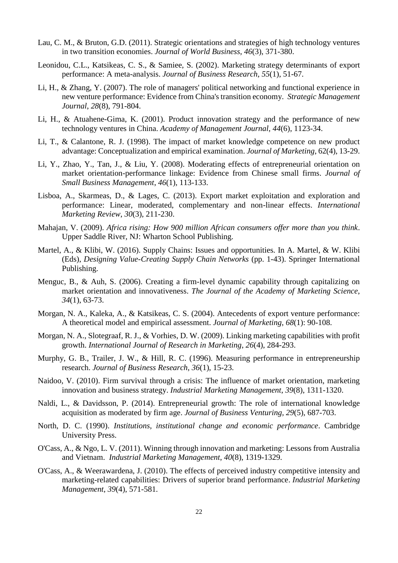- Lau, C. M., & Bruton, G.D. (2011). Strategic orientations and strategies of high technology ventures in two transition economies. *Journal of World Business*, *46*(3), 371-380.
- Leonidou, C.L., Katsikeas, C. S., & Samiee, S. (2002). Marketing strategy determinants of export performance: A meta-analysis. *Journal of Business Research*, *55*(1), 51-67.
- Li, H., & Zhang, Y. (2007). The role of managers' political networking and functional experience in new venture performance: Evidence from China's transition economy. *Strategic Management Journal*, *28*(8), 791-804.
- Li, H., & Atuahene-Gima, K. (2001). Product innovation strategy and the performance of new technology ventures in China. *Academy of Management Journal*, *44*(6), 1123-34.
- Li, T., & Calantone, R. J. (1998). The impact of market knowledge competence on new product advantage: Conceptualization and empirical examination. *Journal of Marketing*, 62(4), 13-29.
- Li, Y., Zhao, Y., Tan, J., & Liu, Y. (2008). Moderating effects of entrepreneurial orientation on market orientation-performance linkage: Evidence from Chinese small firms. *Journal of Small Business Management*, *46*(1), 113-133.
- Lisboa, A., Skarmeas, D., & Lages, C. (2013). Export market exploitation and exploration and performance: Linear, moderated, complementary and non-linear effects. *International Marketing Review*, *30*(3), 211-230.
- Mahajan, V. (2009). *Africa rising: How 900 million African consumers offer more than you think*. Upper Saddle River, NJ: Wharton School Publishing.
- Martel, A., & Klibi, W. (2016). Supply Chains: Issues and opportunities*.* In A. Martel, & W. Klibi (Eds), *Designing Value-Creating Supply Chain Networks* (pp. 1-43). Springer International Publishing.
- Menguc, B., & Auh, S. (2006). Creating a firm-level dynamic capability through capitalizing on market orientation and innovativeness. *The Journal of the Academy of Marketing Science*, *34*(1), 63-73.
- Morgan, N. A., Kaleka, A., & Katsikeas, C. S. (2004). Antecedents of export venture performance: A theoretical model and empirical assessment. *Journal of Marketing*, *68*(1): 90-108.
- Morgan, N. A., Slotegraaf, R. J., & Vorhies, D. W. (2009). Linking marketing capabilities with profit growth. *International Journal of Research in Marketing*, *26*(4), 284-293.
- Murphy, G. B., Trailer, J. W., & Hill, R. C. (1996). Measuring performance in entrepreneurship research. *Journal of Business Research*, *36*(1), 15-23.
- Naidoo, V. (2010). Firm survival through a crisis: The influence of market orientation, marketing innovation and business strategy. *Industrial Marketing Management*, *39*(8), 1311-1320.
- Naldi, L., & Davidsson, P. (2014). Entrepreneurial growth: The role of international knowledge acquisition as moderated by firm age. *Journal of Business Venturing, 29*(5), 687-703.
- North, D. C. (1990). *Institutions, institutional change and economic performance*. Cambridge University Press.
- O'Cass, A., & Ngo, L. V. (2011). Winning through innovation and marketing: Lessons from Australia and Vietnam. *Industrial Marketing Management*, *40*(8), 1319-1329.
- O'Cass, A., & Weerawardena, J. (2010). The effects of perceived industry competitive intensity and marketing-related capabilities: Drivers of superior brand performance. *Industrial Marketing Management*, *39*(4), 571-581.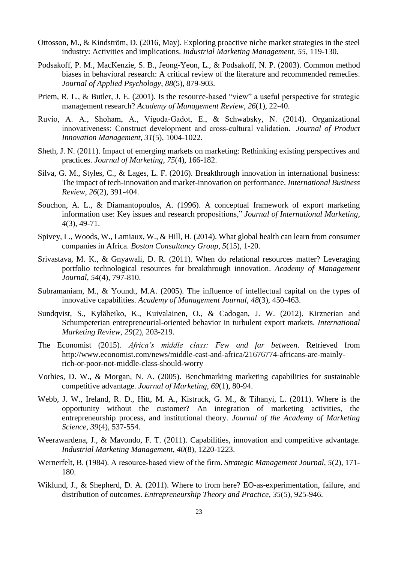- Ottosson, M., & Kindström, D. (2016, May). Exploring proactive niche market strategies in the steel industry: Activities and implications. *Industrial Marketing Management*, *55*, 119-130.
- Podsakoff, P. M., MacKenzie, S. B., Jeong-Yeon, L., & Podsakoff, N. P. (2003). Common method biases in behavioral research: A critical review of the literature and recommended remedies. *Journal of Applied Psychology*, *88*(5), 879-903.
- Priem, R. L., & Butler, J. E. (2001). Is the resource-based "view" a useful perspective for strategic management research? *Academy of Management Review*, *26*(1), 22-40.
- Ruvio, A. A., Shoham, A., Vigoda‐Gadot, E., & Schwabsky, N. (2014). Organizational innovativeness: Construct development and cross‐cultural validation. *Journal of Product Innovation Management*, *31*(5), 1004-1022.
- Sheth, J. N. (2011). Impact of emerging markets on marketing: Rethinking existing perspectives and practices. *Journal of Marketing*, *75*(4), 166-182.
- Silva, G. M., Styles, C., & Lages, L. F. (2016). Breakthrough innovation in international business: The impact of tech-innovation and market-innovation on performance. *International Business Review*, *26*(2), 391-404.
- Souchon, A. L., & Diamantopoulos, A. (1996). A conceptual framework of export marketing information use: Key issues and research propositions," *Journal of International Marketing*, *4*(3), 49-71.
- Spivey, L., Woods, W., Lamiaux, W., & Hill, H. (2014). What global health can learn from consumer companies in Africa. *Boston Consultancy Group, 5*(15), 1-20.
- Srivastava, M. K., & Gnyawali, D. R. (2011). When do relational resources matter? Leveraging portfolio technological resources for breakthrough innovation. *Academy of Management Journal*, *54*(4), 797-810.
- Subramaniam, M., & Youndt, M.A. (2005). The influence of intellectual capital on the types of innovative capabilities. *Academy of Management Journal*, *48*(3), 450-463.
- Sundqvist, S., Kyläheiko, K., Kuivalainen, O., & Cadogan, J. W. (2012). Kirznerian and Schumpeterian entrepreneurial-oriented behavior in turbulent export markets. *International Marketing Review*, *29*(2), 203-219.
- The Economist (2015). *Africa's middle class: Few and far between*. Retrieved from http://www.economist.com/news/middle-east-and-africa/21676774-africans-are-mainlyrich-or-poor-not-middle-class-should-worry
- Vorhies, D. W., & Morgan, N. A. (2005). Benchmarking marketing capabilities for sustainable competitive advantage. *Journal of Marketing*, *69*(1), 80-94.
- Webb, J. W., Ireland, R. D., Hitt, M. A., Kistruck, G. M., & Tihanyi, L. (2011). Where is the opportunity without the customer? An integration of marketing activities, the entrepreneurship process, and institutional theory. *Journal of the Academy of Marketing Science*, *39*(4), 537-554.
- Weerawardena, J., & Mavondo, F. T. (2011). Capabilities, innovation and competitive advantage. *Industrial Marketing Management*, *40*(8), 1220-1223.
- Wernerfelt, B. (1984). A resource‐based view of the firm. *Strategic Management Journal*, *5*(2), 171- 180.
- Wiklund, J., & Shepherd, D. A. (2011). Where to from here? EO-as-experimentation, failure, and distribution of outcomes. *Entrepreneurship Theory and Practice*, *35*(5), 925-946.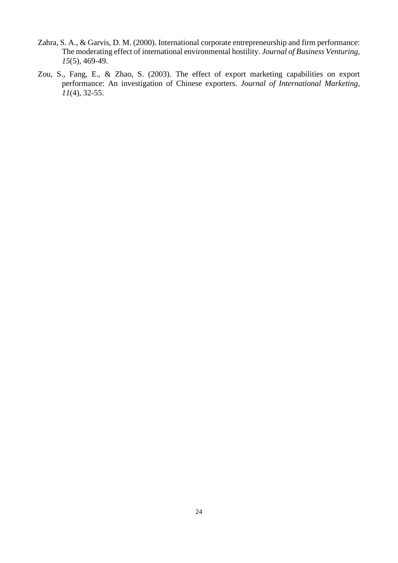- Zahra, S. A., & Garvis, D. M. (2000). International corporate entrepreneurship and firm performance: The moderating effect of international environmental hostility. *Journal of Business Venturing, 15*(5), 469-49.
- Zou, S., Fang, E., & Zhao, S. (2003). The effect of export marketing capabilities on export performance: An investigation of Chinese exporters. *Journal of International Marketing*, *11*(4), 32-55.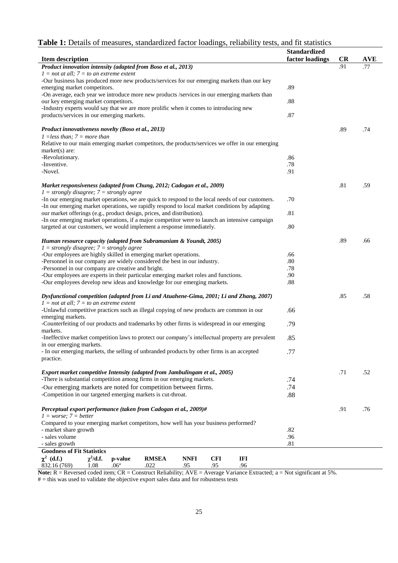| <b>Table 1.</b> Details of measures, standardized factor foatings, remadinty tests, and in statistics                | <b>Standardized</b> |     |            |
|----------------------------------------------------------------------------------------------------------------------|---------------------|-----|------------|
| <b>Item description</b>                                                                                              | factor loadings     | CR  | <b>AVE</b> |
| Product innovation intensity (adapted from Boso et al., 2013)                                                        |                     | .91 | .77        |
| $1 = not$ at all; $7 = to$ an extreme extent                                                                         |                     |     |            |
| -Our business has produced more new products/services for our emerging markets than our key                          |                     |     |            |
| emerging market competitors.                                                                                         | .89                 |     |            |
| -On average, each year we introduce more new products /services in our emerging markets than                         |                     |     |            |
| our key emerging market competitors.                                                                                 | .88                 |     |            |
| -Industry experts would say that we are more prolific when it comes to introducing new                               |                     |     |            |
| products/services in our emerging markets.                                                                           | .87                 |     |            |
|                                                                                                                      |                     |     |            |
| Product innovativeness novelty (Boso et al., 2013)                                                                   |                     | .89 | .74        |
| $1 = less than; 7 = more than$                                                                                       |                     |     |            |
| Relative to our main emerging market competitors, the products/services we offer in our emerging<br>market(s) are:   |                     |     |            |
| -Revolutionary.                                                                                                      | .86                 |     |            |
| -Inventive.                                                                                                          | .78                 |     |            |
| -Novel.                                                                                                              | .91                 |     |            |
|                                                                                                                      |                     |     |            |
| Market responsiveness (adapted from Chung, 2012; Cadogan et al., 2009)                                               |                     | .81 | .59        |
| $1 =$ strongly disagree; $7 =$ strongly agree                                                                        |                     |     |            |
| -In our emerging market operations, we are quick to respond to the local needs of our customers.                     | .70                 |     |            |
| -In our emerging market operations, we rapidly respond to local market conditions by adapting                        |                     |     |            |
| our market offerings (e.g., product design, prices, and distribution).                                               | .81                 |     |            |
| -In our emerging market operations, if a major competitor were to launch an intensive campaign                       |                     |     |            |
| targeted at our customers, we would implement a response immediately.                                                | .80                 |     |            |
|                                                                                                                      |                     | .89 | .66        |
| Human resource capacity (adapted from Subramaniam & Youndt, 2005)<br>$1 =$ strongly disagree; $7 =$ strongly agree   |                     |     |            |
| -Our employees are highly skilled in emerging market operations.                                                     | .66                 |     |            |
| -Personnel in our company are widely considered the best in our industry.                                            | .80                 |     |            |
| -Personnel in our company are creative and bright.                                                                   | .78                 |     |            |
| -Our employees are experts in their particular emerging market roles and functions.                                  | .90                 |     |            |
| -Our employees develop new ideas and knowledge for our emerging markets.                                             | .88                 |     |            |
|                                                                                                                      |                     |     |            |
| Dysfunctional competition (adapted from Li and Atuahene-Gima, 2001; Li and Zhang, 2007)                              |                     | .85 | .58        |
| $1 = not$ at all; $7 = to$ an extreme extent                                                                         |                     |     |            |
| -Unlawful competitive practices such as illegal copying of new products are common in our                            | .66                 |     |            |
| emerging markets.<br>-Counterfeiting of our products and trademarks by other firms is widespread in our emerging     | .79                 |     |            |
| markets.                                                                                                             |                     |     |            |
| -Ineffective market competition laws to protect our company's intellectual property are prevalent                    | .85                 |     |            |
| in our emerging markets.                                                                                             |                     |     |            |
| - In our emerging markets, the selling of unbranded products by other firms is an accepted                           | .77                 |     |            |
| practice.                                                                                                            |                     |     |            |
|                                                                                                                      |                     |     |            |
| Export market competitive Intensity (adapted from Jambulingam et al., 2005)                                          |                     | .71 | .52        |
| -There is substantial competition among firms in our emerging markets.                                               | .74                 |     |            |
| -Our emerging markets are noted for competition between firms.                                                       | .74                 |     |            |
| -Competition in our targeted emerging markets is cut-throat.                                                         | .88                 |     |            |
|                                                                                                                      |                     |     |            |
| Perceptual export performance (taken from Cadogan et al., 2009)#                                                     |                     | .91 | .76        |
| $1 = worse$ ; $7 = better$                                                                                           |                     |     |            |
| Compared to your emerging market competitors, how well has your business performed?                                  |                     |     |            |
| - market share growth                                                                                                | .82                 |     |            |
| - sales volume                                                                                                       | .96                 |     |            |
| - sales growth                                                                                                       | .81                 |     |            |
| <b>Goodness of Fit Statistics</b><br>$\chi^2$ (d.f.)<br><b>RMSEA</b><br><b>CFI</b><br><b>NNFI</b><br>IFI             |                     |     |            |
| $\chi^2/\mathbf{d}.\mathbf{f}$ .<br>p-value<br>832.16 (769)<br>1.08<br>.06 <sup>a</sup><br>.022<br>.95<br>.95<br>.96 |                     |     |            |

## **Table 1:** Details of measures, standardized factor loadings, reliability tests, and fit statistics

**Note:** R = Reversed coded item; CR = Construct Reliability; AVE = Average Variance Extracted; a = Not significant at 5%.

# = this was used to validate the objective export sales data and for robustness tests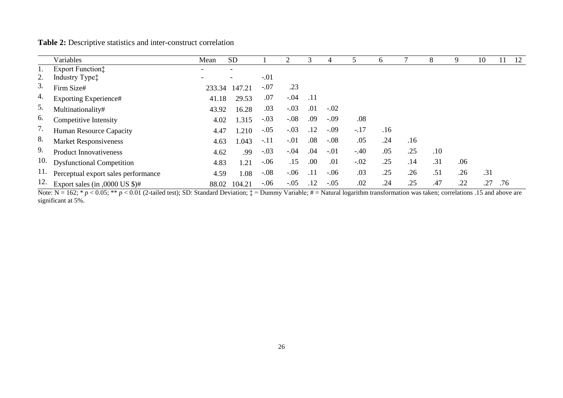| Table 2: Descriptive statistics and inter-construct correlation |  |
|-----------------------------------------------------------------|--|
|-----------------------------------------------------------------|--|

|     | Variables                                  | Mean                     | <b>SD</b>                |        |         |      |        |        | h   |     | 8   | 9   | 10  |     | 12 |
|-----|--------------------------------------------|--------------------------|--------------------------|--------|---------|------|--------|--------|-----|-----|-----|-----|-----|-----|----|
|     | Export Function:                           | $\overline{\phantom{0}}$ | $\overline{\phantom{0}}$ |        |         |      |        |        |     |     |     |     |     |     |    |
| 2.  | Industry Type‡                             |                          |                          | $-.01$ |         |      |        |        |     |     |     |     |     |     |    |
| 3.  | Firm Size#                                 | 233.34                   | 147.21                   | $-.07$ | .23     |      |        |        |     |     |     |     |     |     |    |
| 4.  | <b>Exporting Experience#</b>               | 41.18                    | 29.53                    | .07    | $-.04$  | -.11 |        |        |     |     |     |     |     |     |    |
| 5.  | Multinationality#                          | 43.92                    | 16.28                    | .03    | $-.03$  | .01  | $-.02$ |        |     |     |     |     |     |     |    |
| 6.  | Competitive Intensity                      | 4.02                     | 1.315                    | $-.03$ | $-.08$  | .09  | $-.09$ | .08    |     |     |     |     |     |     |    |
| 7.  | Human Resource Capacity                    | 4.47                     | 1.210                    | $-.05$ | $-.03$  | .12  | $-.09$ | $-.17$ | .16 |     |     |     |     |     |    |
| 8.  | <b>Market Responsiveness</b>               | 4.63                     | .043                     | $-.11$ | $-.01$  | .08  | $-.08$ | .05    | .24 | .16 |     |     |     |     |    |
| 9.  | <b>Product Innovativeness</b>              | 4.62                     | .99                      | $-.03$ | $-.04$  | .04  | $-.01$ | $-.40$ | .05 | .25 | .10 |     |     |     |    |
| 10. | <b>Dysfunctional Competition</b>           | 4.83                     | 1.21                     | $-.06$ | .15     | .00  | .01    | $-.02$ | .25 | .14 | .31 | .06 |     |     |    |
|     | Perceptual export sales performance        | 4.59                     | 1.08                     | $-.08$ | $-0.06$ | .11  | $-.06$ | .03    | .25 | .26 | .51 | .26 | .31 |     |    |
|     | Export sales (in ,0000 US $\frac{1}{2}$ )# | 88.02                    | 104.21                   | $-.06$ | $-.05$  | .12  | $-.05$ | .02    | .24 | .25 | .47 | .22 | .27 | .76 |    |

Note:  $N = 162$ ; \*  $p < 0.05$ ; \*\*  $p < 0.01$  (2-tailed test); SD: Standard Deviation;  $\ddagger$  = Dummy Variable; # = Natural logarithm transformation was taken; correlations .15 and above are significant at 5%.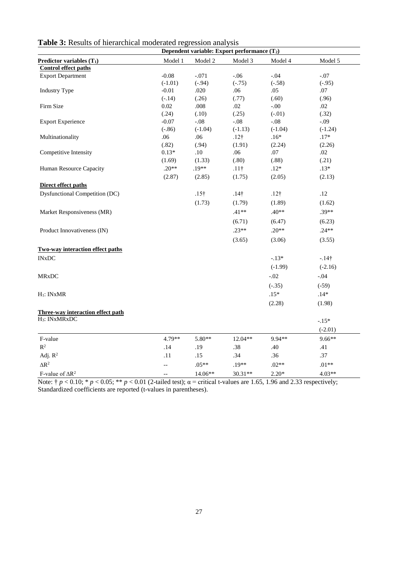| Table 3: Results of hierarchical moderated regression analysis |  |  |  |
|----------------------------------------------------------------|--|--|--|
|                                                                |  |  |  |

|                                         |           | Dependent variable: Export performance $(T_2)$ |              |              |              |  |  |  |  |  |
|-----------------------------------------|-----------|------------------------------------------------|--------------|--------------|--------------|--|--|--|--|--|
| <b>Predictor variables</b> $(T_1)$      | Model 1   | Model 2                                        | Model 3      | Model 4      | Model 5      |  |  |  |  |  |
| <b>Control effect paths</b>             |           |                                                |              |              |              |  |  |  |  |  |
| <b>Export Department</b>                | $-0.08$   | $-.071$                                        | $-.06$       | $-.04$       | $-.07$       |  |  |  |  |  |
|                                         | $(-1.01)$ | $(-.94)$                                       | $(-.75)$     | $(-.58)$     | $(-.95)$     |  |  |  |  |  |
| <b>Industry Type</b>                    | $-0.01$   | .020                                           | .06          | .05          | .07          |  |  |  |  |  |
|                                         | $(-.14)$  | (.26)                                          | (.77)        | (.60)        | (.96)        |  |  |  |  |  |
| Firm Size                               | $0.02\,$  | .008                                           | .02          | $-00.$       | .02          |  |  |  |  |  |
|                                         | (.24)     | (.10)                                          | (.25)        | $(-.01)$     | (.32)        |  |  |  |  |  |
| <b>Export Experience</b>                | $-0.07$   | $-.08$                                         | $-.08$       | $-.08$       | $-0.09$      |  |  |  |  |  |
|                                         | $(-.86)$  | $(-1.04)$                                      | $(-1.13)$    | $(-1.04)$    | $(-1.24)$    |  |  |  |  |  |
| Multinationality                        | .06       | .06                                            | $.12\dagger$ | $.16*$       | $.17*$       |  |  |  |  |  |
|                                         | (.82)     | (.94)                                          | (1.91)       | (2.24)       | (2.26)       |  |  |  |  |  |
| Competitive Intensity                   | $0.13*$   | $.10\,$                                        | .06          | .07          | .02          |  |  |  |  |  |
|                                         | (1.69)    | (1.33)                                         | (.80)        | (.88)        | (.21)        |  |  |  |  |  |
| Human Resource Capacity                 | $.20**$   | .19**                                          | $.11\dagger$ | $.12*$       | $.13*$       |  |  |  |  |  |
|                                         | (2.87)    | (2.85)                                         | (1.75)       | (2.05)       | (2.13)       |  |  |  |  |  |
| Direct effect paths                     |           |                                                |              |              |              |  |  |  |  |  |
| <b>Dysfunctional Competition (DC)</b>   |           | $.15\dagger$                                   | $.14\dagger$ | $.12\dagger$ | .12          |  |  |  |  |  |
|                                         |           | (1.73)                                         | (1.79)       | (1.89)       | (1.62)       |  |  |  |  |  |
| Market Responsiveness (MR)              |           |                                                | $.41**$      | $.40**$      | $.39**$      |  |  |  |  |  |
|                                         |           |                                                | (6.71)       | (6.47)       | (6.23)       |  |  |  |  |  |
| Product Innovativeness (IN)             |           |                                                | $.23**$      | $.20**$      | $.24**$      |  |  |  |  |  |
|                                         |           |                                                | (3.65)       | (3.06)       | (3.55)       |  |  |  |  |  |
| <b>Two-way interaction effect paths</b> |           |                                                |              |              |              |  |  |  |  |  |
| <b>INxDC</b>                            |           |                                                |              | $-.13*$      | $-14\dagger$ |  |  |  |  |  |
|                                         |           |                                                |              | $(-1.99)$    | $(-2.16)$    |  |  |  |  |  |
| <b>MRxDC</b>                            |           |                                                |              | $-.02$       | $-.04$       |  |  |  |  |  |
|                                         |           |                                                |              | $(-.35)$     | $(-59)$      |  |  |  |  |  |
| $H_1$ : INxMR                           |           |                                                |              | $.15*$       | $.14*$       |  |  |  |  |  |
|                                         |           |                                                |              | (2.28)       | (1.98)       |  |  |  |  |  |
| Three-way interaction effect path       |           |                                                |              |              |              |  |  |  |  |  |
| H <sub>3</sub> : INxMRxDC               |           |                                                |              |              | $-.15*$      |  |  |  |  |  |
|                                         |           |                                                |              |              | $(-2.01)$    |  |  |  |  |  |
| F-value                                 | 4.79**    | 5.80**                                         | $12.04**$    | 9.94**       | $9.66**$     |  |  |  |  |  |
| $\mathbb{R}^2$                          | .14       | .19                                            | .38          | .40          | .41          |  |  |  |  |  |
| Adj. $R^2$                              | .11       | .15                                            | .34          | .36          | .37          |  |  |  |  |  |
| $\Delta \mathbf{R}^2$                   | $-$       | $.05**$                                        | $.19**$      | $.02**$      | $.01**$      |  |  |  |  |  |
| F-value of $\Delta R^2$                 | $-$       | 14.06**                                        | 30.31**      | $2.20*$      | $4.03**$     |  |  |  |  |  |

Note:  $\dagger p < 0.10$ ;  $\dagger p < 0.05$ ;  $\dagger \dagger p < 0.01$  (2-tailed test);  $\alpha$  = critical t-values are 1.65, 1.96 and 2.33 respectively; Standardized coefficients are reported (t-values in parentheses).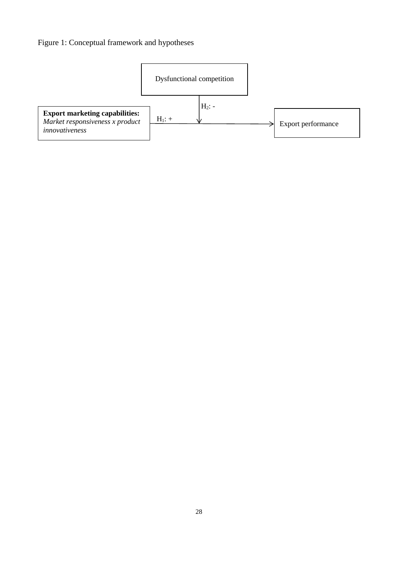# Figure 1: Conceptual framework and hypotheses

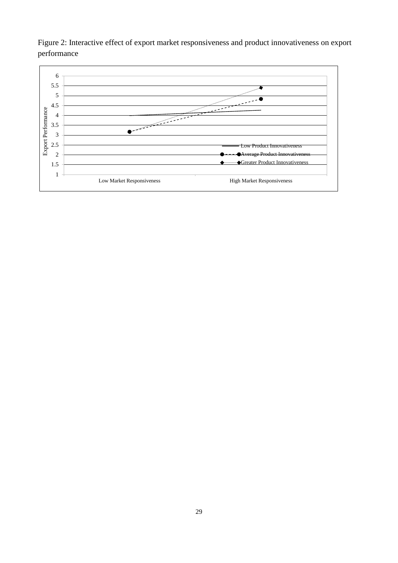Figure 2: Interactive effect of export market responsiveness and product innovativeness on export performance